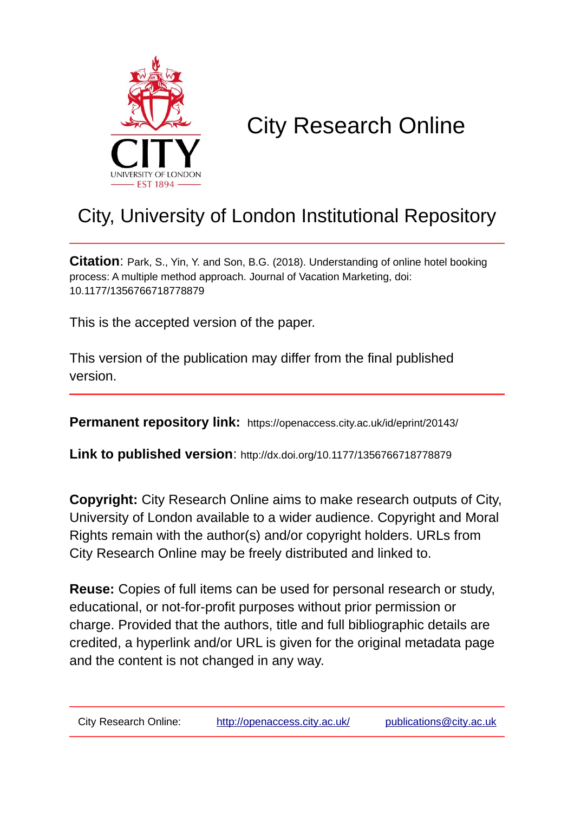

# City Research Online

# City, University of London Institutional Repository

**Citation**: Park, S., Yin, Y. and Son, B.G. (2018). Understanding of online hotel booking process: A multiple method approach. Journal of Vacation Marketing, doi: 10.1177/1356766718778879

This is the accepted version of the paper.

This version of the publication may differ from the final published version.

**Permanent repository link:** https://openaccess.city.ac.uk/id/eprint/20143/

**Link to published version**: http://dx.doi.org/10.1177/1356766718778879

**Copyright:** City Research Online aims to make research outputs of City, University of London available to a wider audience. Copyright and Moral Rights remain with the author(s) and/or copyright holders. URLs from City Research Online may be freely distributed and linked to.

**Reuse:** Copies of full items can be used for personal research or study, educational, or not-for-profit purposes without prior permission or charge. Provided that the authors, title and full bibliographic details are credited, a hyperlink and/or URL is given for the original metadata page and the content is not changed in any way.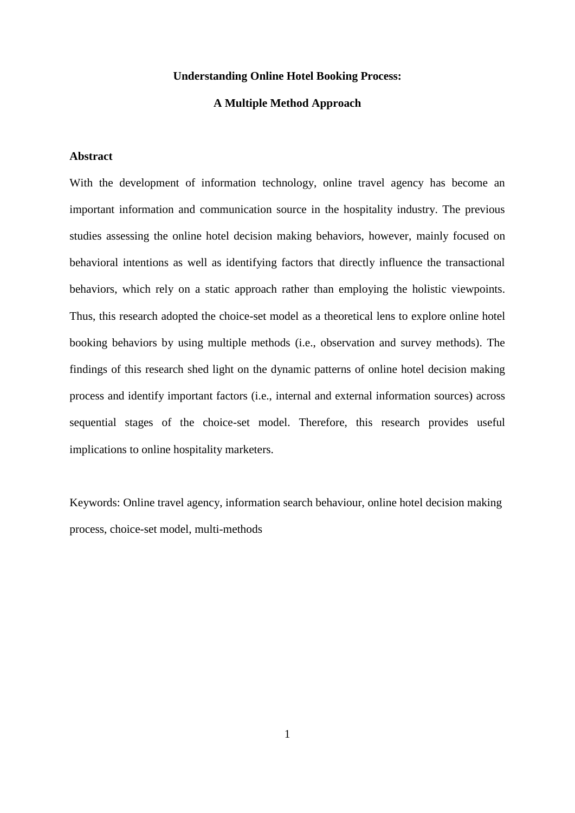#### **Understanding Online Hotel Booking Process:**

## **A Multiple Method Approach**

### **Abstract**

With the development of information technology, online travel agency has become an important information and communication source in the hospitality industry. The previous studies assessing the online hotel decision making behaviors, however, mainly focused on behavioral intentions as well as identifying factors that directly influence the transactional behaviors, which rely on a static approach rather than employing the holistic viewpoints. Thus, this research adopted the choice-set model as a theoretical lens to explore online hotel booking behaviors by using multiple methods (i.e., observation and survey methods). The findings of this research shed light on the dynamic patterns of online hotel decision making process and identify important factors (i.e., internal and external information sources) across sequential stages of the choice-set model. Therefore, this research provides useful implications to online hospitality marketers.

Keywords: Online travel agency, information search behaviour, online hotel decision making process, choice-set model, multi-methods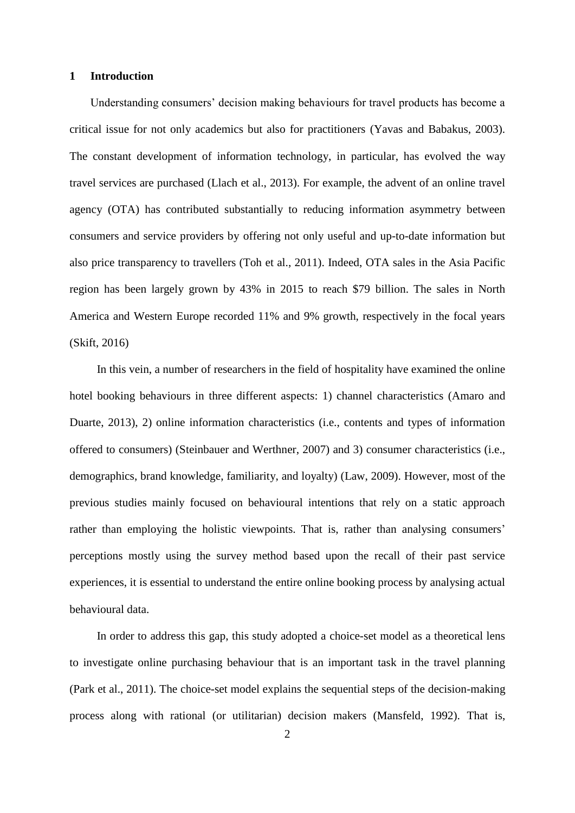#### **1 Introduction**

Understanding consumers' decision making behaviours for travel products has become a critical issue for not only academics but also for practitioners (Yavas and Babakus, 2003). The constant development of information technology, in particular, has evolved the way travel services are purchased (Llach et al., 2013). For example, the advent of an online travel agency (OTA) has contributed substantially to reducing information asymmetry between consumers and service providers by offering not only useful and up-to-date information but also price transparency to travellers (Toh et al., 2011). Indeed, OTA sales in the Asia Pacific region has been largely grown by 43% in 2015 to reach \$79 billion. The sales in North America and Western Europe recorded 11% and 9% growth, respectively in the focal years (Skift, 2016)

In this vein, a number of researchers in the field of hospitality have examined the online hotel booking behaviours in three different aspects: 1) channel characteristics (Amaro and Duarte, 2013), 2) online information characteristics (i.e., contents and types of information offered to consumers) (Steinbauer and Werthner, 2007) and 3) consumer characteristics (i.e., demographics, brand knowledge, familiarity, and loyalty) (Law, 2009). However, most of the previous studies mainly focused on behavioural intentions that rely on a static approach rather than employing the holistic viewpoints. That is, rather than analysing consumers' perceptions mostly using the survey method based upon the recall of their past service experiences, it is essential to understand the entire online booking process by analysing actual behavioural data.

In order to address this gap, this study adopted a choice-set model as a theoretical lens to investigate online purchasing behaviour that is an important task in the travel planning (Park et al., 2011). The choice-set model explains the sequential steps of the decision-making process along with rational (or utilitarian) decision makers (Mansfeld, 1992). That is,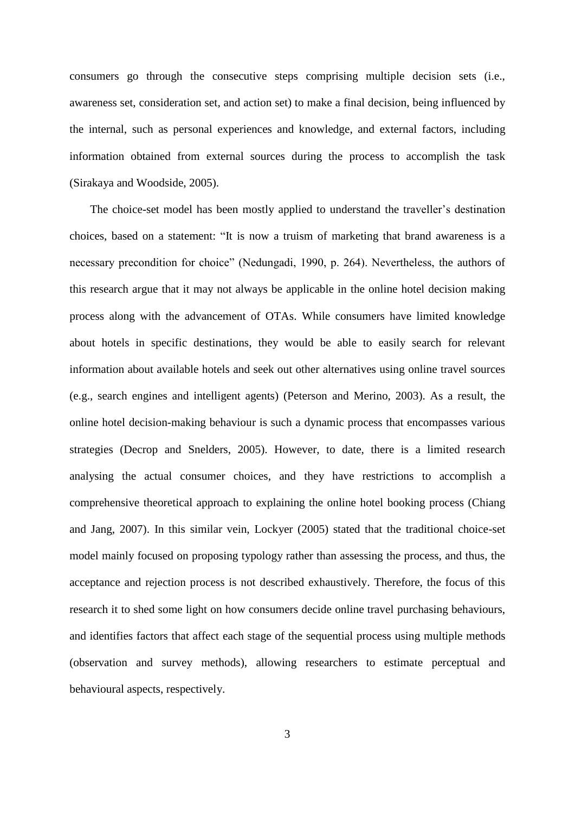consumers go through the consecutive steps comprising multiple decision sets (i.e., awareness set, consideration set, and action set) to make a final decision, being influenced by the internal, such as personal experiences and knowledge, and external factors, including information obtained from external sources during the process to accomplish the task (Sirakaya and Woodside, 2005).

The choice-set model has been mostly applied to understand the traveller's destination choices, based on a statement: "It is now a truism of marketing that brand awareness is a necessary precondition for choice" (Nedungadi, 1990, p. 264). Nevertheless, the authors of this research argue that it may not always be applicable in the online hotel decision making process along with the advancement of OTAs. While consumers have limited knowledge about hotels in specific destinations, they would be able to easily search for relevant information about available hotels and seek out other alternatives using online travel sources (e.g., search engines and intelligent agents) (Peterson and Merino, 2003). As a result, the online hotel decision-making behaviour is such a dynamic process that encompasses various strategies (Decrop and Snelders, 2005). However, to date, there is a limited research analysing the actual consumer choices, and they have restrictions to accomplish a comprehensive theoretical approach to explaining the online hotel booking process (Chiang and Jang, 2007). In this similar vein, Lockyer (2005) stated that the traditional choice-set model mainly focused on proposing typology rather than assessing the process, and thus, the acceptance and rejection process is not described exhaustively. Therefore, the focus of this research it to shed some light on how consumers decide online travel purchasing behaviours, and identifies factors that affect each stage of the sequential process using multiple methods (observation and survey methods), allowing researchers to estimate perceptual and behavioural aspects, respectively.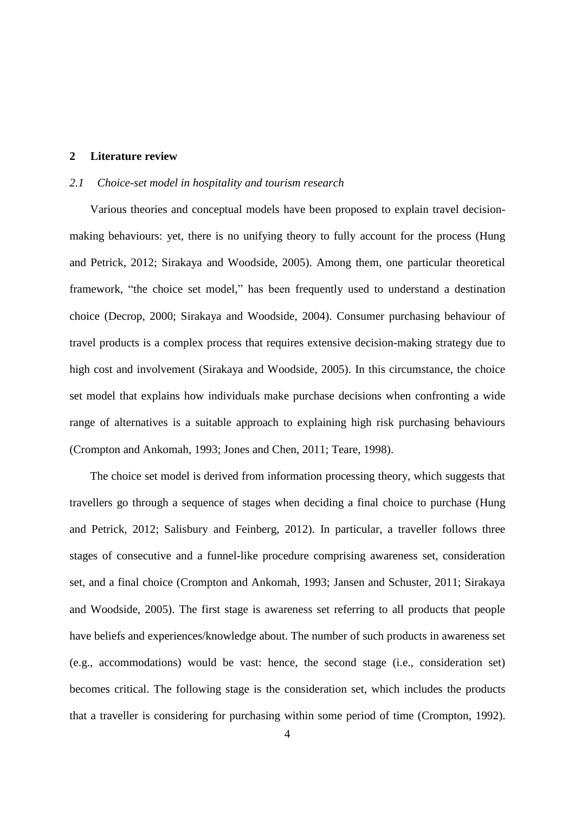#### **2 Literature review**

#### *2.1 Choice-set model in hospitality and tourism research*

Various theories and conceptual models have been proposed to explain travel decisionmaking behaviours: yet, there is no unifying theory to fully account for the process (Hung and Petrick, 2012; Sirakaya and Woodside, 2005). Among them, one particular theoretical framework, "the choice set model," has been frequently used to understand a destination choice (Decrop, 2000; Sirakaya and Woodside, 2004). Consumer purchasing behaviour of travel products is a complex process that requires extensive decision-making strategy due to high cost and involvement (Sirakaya and Woodside, 2005). In this circumstance, the choice set model that explains how individuals make purchase decisions when confronting a wide range of alternatives is a suitable approach to explaining high risk purchasing behaviours (Crompton and Ankomah, 1993; Jones and Chen, 2011; Teare, 1998).

The choice set model is derived from information processing theory, which suggests that travellers go through a sequence of stages when deciding a final choice to purchase (Hung and Petrick, 2012; Salisbury and Feinberg, 2012). In particular, a traveller follows three stages of consecutive and a funnel-like procedure comprising awareness set, consideration set, and a final choice (Crompton and Ankomah, 1993; Jansen and Schuster, 2011; Sirakaya and Woodside, 2005). The first stage is awareness set referring to all products that people have beliefs and experiences/knowledge about. The number of such products in awareness set (e.g., accommodations) would be vast: hence, the second stage (i.e., consideration set) becomes critical. The following stage is the consideration set, which includes the products that a traveller is considering for purchasing within some period of time (Crompton, 1992).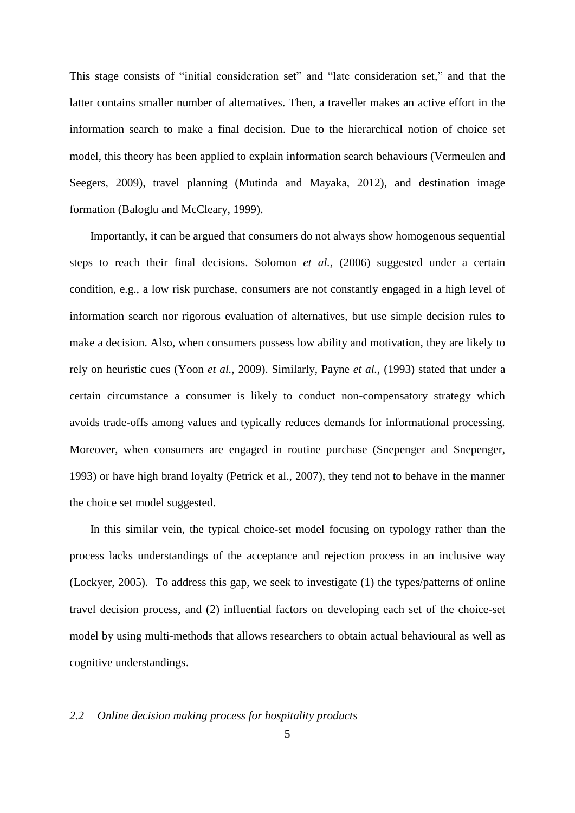This stage consists of "initial consideration set" and "late consideration set," and that the latter contains smaller number of alternatives. Then, a traveller makes an active effort in the information search to make a final decision. Due to the hierarchical notion of choice set model, this theory has been applied to explain information search behaviours (Vermeulen and Seegers, 2009), travel planning (Mutinda and Mayaka, 2012), and destination image formation (Baloglu and McCleary, 1999).

Importantly, it can be argued that consumers do not always show homogenous sequential steps to reach their final decisions. Solomon *et al.,* (2006) suggested under a certain condition, e.g., a low risk purchase, consumers are not constantly engaged in a high level of information search nor rigorous evaluation of alternatives, but use simple decision rules to make a decision. Also, when consumers possess low ability and motivation, they are likely to rely on heuristic cues (Yoon *et al.,* 2009). Similarly, Payne *et al.,* (1993) stated that under a certain circumstance a consumer is likely to conduct non-compensatory strategy which avoids trade-offs among values and typically reduces demands for informational processing. Moreover, when consumers are engaged in routine purchase (Snepenger and Snepenger, 1993) or have high brand loyalty (Petrick et al., 2007), they tend not to behave in the manner the choice set model suggested.

In this similar vein, the typical choice-set model focusing on typology rather than the process lacks understandings of the acceptance and rejection process in an inclusive way (Lockyer, 2005). To address this gap, we seek to investigate (1) the types/patterns of online travel decision process, and (2) influential factors on developing each set of the choice-set model by using multi-methods that allows researchers to obtain actual behavioural as well as cognitive understandings.

#### *2.2 Online decision making process for hospitality products*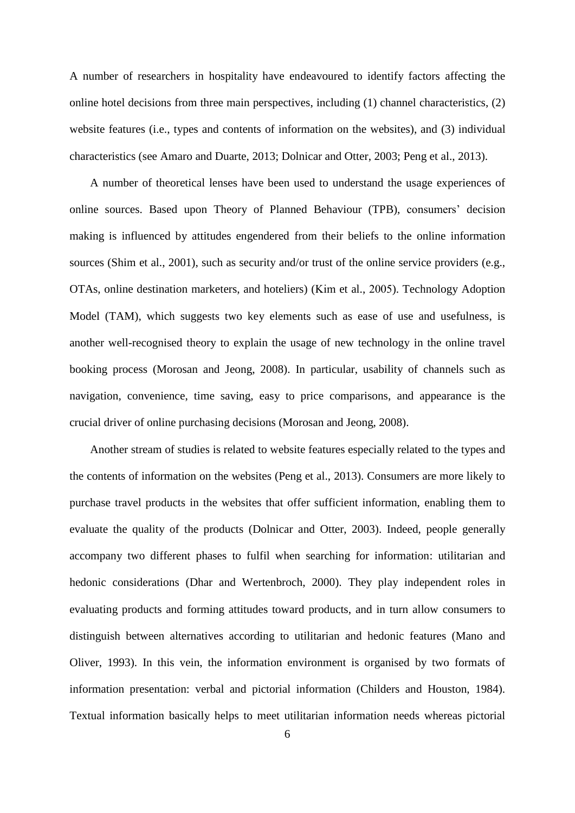A number of researchers in hospitality have endeavoured to identify factors affecting the online hotel decisions from three main perspectives, including (1) channel characteristics, (2) website features (i.e., types and contents of information on the websites), and (3) individual characteristics (see Amaro and Duarte, 2013; Dolnicar and Otter, 2003; Peng et al., 2013).

A number of theoretical lenses have been used to understand the usage experiences of online sources. Based upon Theory of Planned Behaviour (TPB), consumers' decision making is influenced by attitudes engendered from their beliefs to the online information sources (Shim et al., 2001), such as security and/or trust of the online service providers (e.g., OTAs, online destination marketers, and hoteliers) (Kim et al., 2005). Technology Adoption Model (TAM), which suggests two key elements such as ease of use and usefulness, is another well-recognised theory to explain the usage of new technology in the online travel booking process (Morosan and Jeong, 2008). In particular, usability of channels such as navigation, convenience, time saving, easy to price comparisons, and appearance is the crucial driver of online purchasing decisions (Morosan and Jeong, 2008).

Another stream of studies is related to website features especially related to the types and the contents of information on the websites (Peng et al., 2013). Consumers are more likely to purchase travel products in the websites that offer sufficient information, enabling them to evaluate the quality of the products (Dolnicar and Otter, 2003). Indeed, people generally accompany two different phases to fulfil when searching for information: utilitarian and hedonic considerations (Dhar and Wertenbroch, 2000). They play independent roles in evaluating products and forming attitudes toward products, and in turn allow consumers to distinguish between alternatives according to utilitarian and hedonic features (Mano and Oliver, 1993). In this vein, the information environment is organised by two formats of information presentation: verbal and pictorial information (Childers and Houston, 1984). Textual information basically helps to meet utilitarian information needs whereas pictorial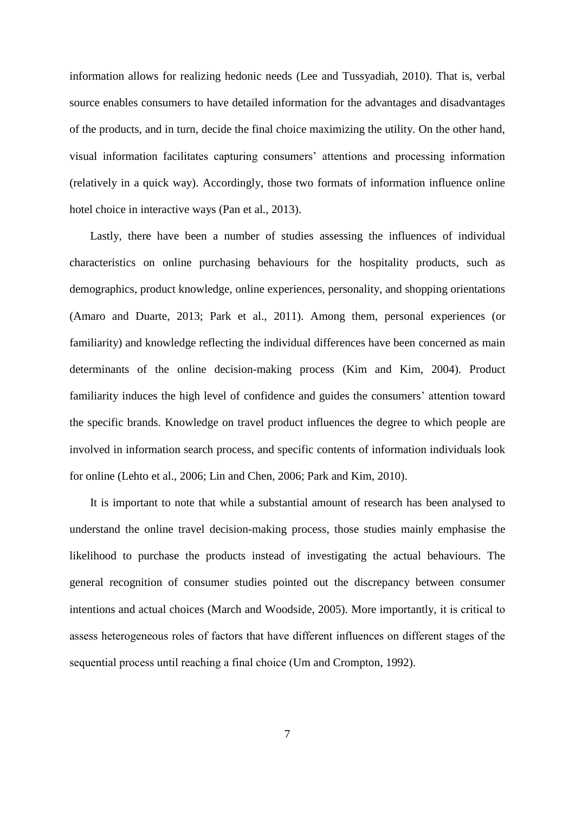information allows for realizing hedonic needs (Lee and Tussyadiah, 2010). That is, verbal source enables consumers to have detailed information for the advantages and disadvantages of the products, and in turn, decide the final choice maximizing the utility. On the other hand, visual information facilitates capturing consumers' attentions and processing information (relatively in a quick way). Accordingly, those two formats of information influence online hotel choice in interactive ways (Pan et al., 2013).

Lastly, there have been a number of studies assessing the influences of individual characteristics on online purchasing behaviours for the hospitality products, such as demographics, product knowledge, online experiences, personality, and shopping orientations (Amaro and Duarte, 2013; Park et al., 2011). Among them, personal experiences (or familiarity) and knowledge reflecting the individual differences have been concerned as main determinants of the online decision-making process (Kim and Kim, 2004). Product familiarity induces the high level of confidence and guides the consumers' attention toward the specific brands. Knowledge on travel product influences the degree to which people are involved in information search process, and specific contents of information individuals look for online (Lehto et al., 2006; Lin and Chen, 2006; Park and Kim, 2010).

It is important to note that while a substantial amount of research has been analysed to understand the online travel decision-making process, those studies mainly emphasise the likelihood to purchase the products instead of investigating the actual behaviours. The general recognition of consumer studies pointed out the discrepancy between consumer intentions and actual choices (March and Woodside, 2005). More importantly, it is critical to assess heterogeneous roles of factors that have different influences on different stages of the sequential process until reaching a final choice (Um and Crompton, 1992).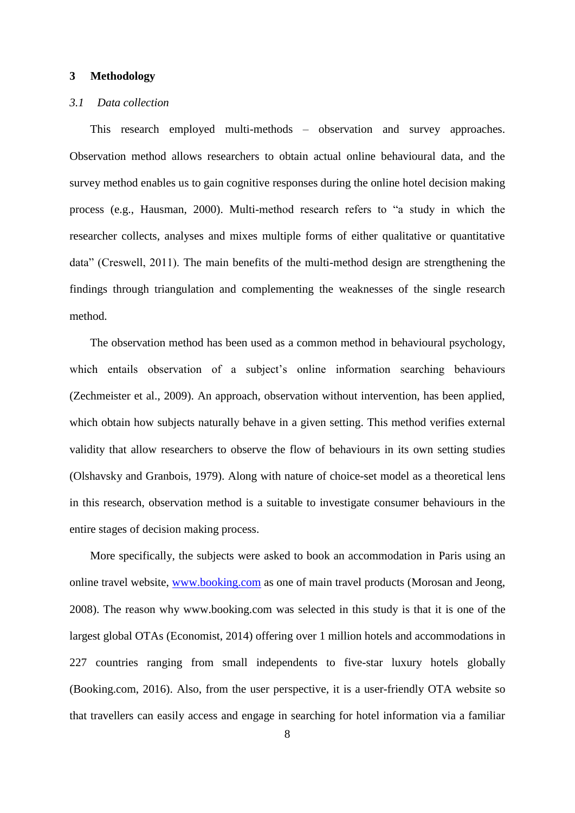#### **3 Methodology**

#### *3.1 Data collection*

This research employed multi-methods – observation and survey approaches. Observation method allows researchers to obtain actual online behavioural data, and the survey method enables us to gain cognitive responses during the online hotel decision making process (e.g., Hausman, 2000). Multi-method research refers to "a study in which the researcher collects, analyses and mixes multiple forms of either qualitative or quantitative data" (Creswell, 2011). The main benefits of the multi-method design are strengthening the findings through triangulation and complementing the weaknesses of the single research method.

The observation method has been used as a common method in behavioural psychology, which entails observation of a subject's online information searching behaviours (Zechmeister et al., 2009). An approach, observation without intervention, has been applied, which obtain how subjects naturally behave in a given setting. This method verifies external validity that allow researchers to observe the flow of behaviours in its own setting studies (Olshavsky and Granbois, 1979). Along with nature of choice-set model as a theoretical lens in this research, observation method is a suitable to investigate consumer behaviours in the entire stages of decision making process.

More specifically, the subjects were asked to book an accommodation in Paris using an online travel website, [www.booking.com](http://www.booking.com/) as one of main travel products (Morosan and Jeong, 2008). The reason why www.booking.com was selected in this study is that it is one of the largest global OTAs (Economist, 2014) offering over 1 million hotels and accommodations in 227 countries ranging from small independents to five-star luxury hotels globally (Booking.com, 2016). Also, from the user perspective, it is a user-friendly OTA website so that travellers can easily access and engage in searching for hotel information via a familiar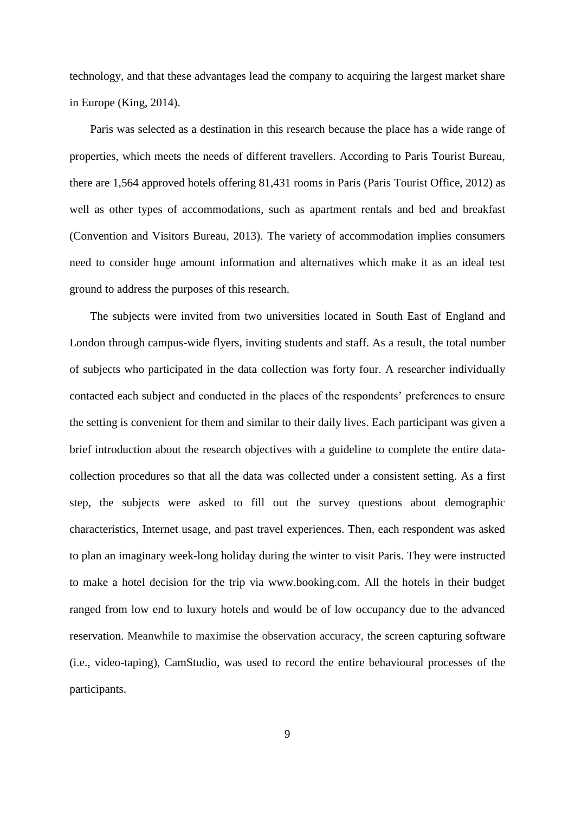technology, and that these advantages lead the company to acquiring the largest market share in Europe (King, 2014).

Paris was selected as a destination in this research because the place has a wide range of properties, which meets the needs of different travellers. According to Paris Tourist Bureau, there are 1,564 approved hotels offering 81,431 rooms in Paris (Paris Tourist Office, 2012) as well as other types of accommodations, such as apartment rentals and bed and breakfast (Convention and Visitors Bureau, 2013). The variety of accommodation implies consumers need to consider huge amount information and alternatives which make it as an ideal test ground to address the purposes of this research.

The subjects were invited from two universities located in South East of England and London through campus-wide flyers, inviting students and staff. As a result, the total number of subjects who participated in the data collection was forty four. A researcher individually contacted each subject and conducted in the places of the respondents' preferences to ensure the setting is convenient for them and similar to their daily lives. Each participant was given a brief introduction about the research objectives with a guideline to complete the entire datacollection procedures so that all the data was collected under a consistent setting. As a first step, the subjects were asked to fill out the survey questions about demographic characteristics, Internet usage, and past travel experiences. Then, each respondent was asked to plan an imaginary week-long holiday during the winter to visit Paris. They were instructed to make a hotel decision for the trip via www.booking.com. All the hotels in their budget ranged from low end to luxury hotels and would be of low occupancy due to the advanced reservation. Meanwhile to maximise the observation accuracy, the screen capturing software (i.e., video-taping), CamStudio, was used to record the entire behavioural processes of the participants.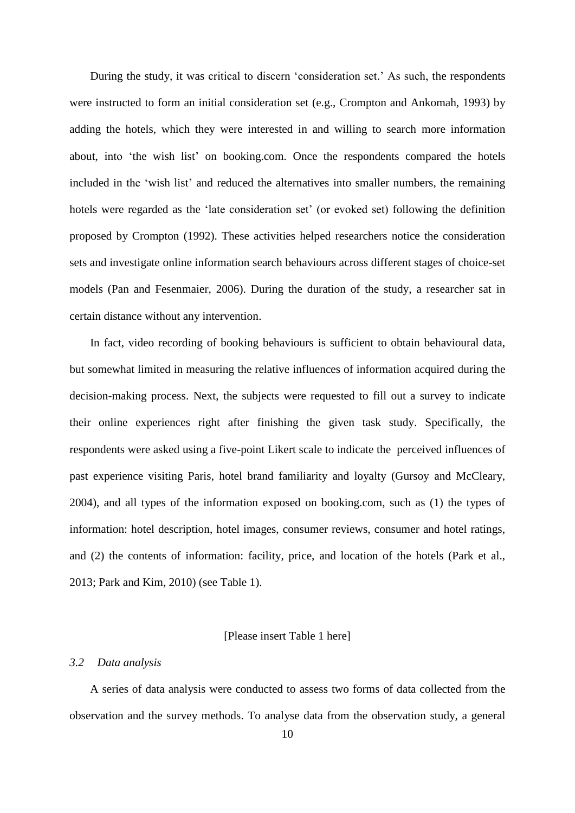During the study, it was critical to discern 'consideration set.' As such, the respondents were instructed to form an initial consideration set (e.g., Crompton and Ankomah, 1993) by adding the hotels, which they were interested in and willing to search more information about, into 'the wish list' on booking.com. Once the respondents compared the hotels included in the 'wish list' and reduced the alternatives into smaller numbers, the remaining hotels were regarded as the 'late consideration set' (or evoked set) following the definition proposed by Crompton (1992). These activities helped researchers notice the consideration sets and investigate online information search behaviours across different stages of choice-set models (Pan and Fesenmaier, 2006). During the duration of the study, a researcher sat in certain distance without any intervention.

In fact, video recording of booking behaviours is sufficient to obtain behavioural data, but somewhat limited in measuring the relative influences of information acquired during the decision-making process. Next, the subjects were requested to fill out a survey to indicate their online experiences right after finishing the given task study. Specifically, the respondents were asked using a five-point Likert scale to indicate the perceived influences of past experience visiting Paris, hotel brand familiarity and loyalty (Gursoy and McCleary, 2004), and all types of the information exposed on booking.com, such as (1) the types of information: hotel description, hotel images, consumer reviews, consumer and hotel ratings, and (2) the contents of information: facility, price, and location of the hotels (Park et al., 2013; Park and Kim, 2010) (see Table 1).

#### [Please insert Table 1 here]

#### *3.2 Data analysis*

A series of data analysis were conducted to assess two forms of data collected from the observation and the survey methods. To analyse data from the observation study, a general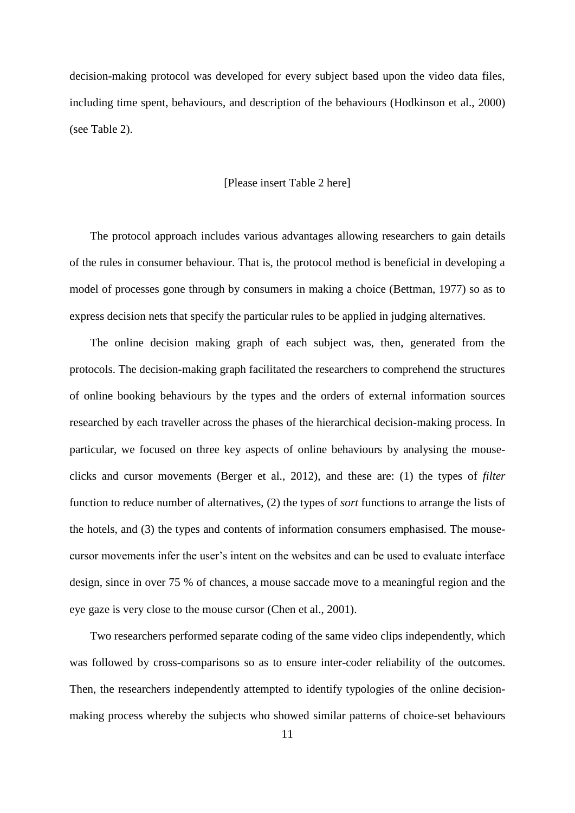decision-making protocol was developed for every subject based upon the video data files, including time spent, behaviours, and description of the behaviours (Hodkinson et al., 2000) (see Table 2).

#### [Please insert Table 2 here]

The protocol approach includes various advantages allowing researchers to gain details of the rules in consumer behaviour. That is, the protocol method is beneficial in developing a model of processes gone through by consumers in making a choice (Bettman, 1977) so as to express decision nets that specify the particular rules to be applied in judging alternatives.

The online decision making graph of each subject was, then, generated from the protocols. The decision-making graph facilitated the researchers to comprehend the structures of online booking behaviours by the types and the orders of external information sources researched by each traveller across the phases of the hierarchical decision-making process. In particular, we focused on three key aspects of online behaviours by analysing the mouseclicks and cursor movements (Berger et al., 2012), and these are: (1) the types of *filter* function to reduce number of alternatives, (2) the types of *sort* functions to arrange the lists of the hotels, and (3) the types and contents of information consumers emphasised. The mousecursor movements infer the user's intent on the websites and can be used to evaluate interface design, since in over 75 % of chances, a mouse saccade move to a meaningful region and the eye gaze is very close to the mouse cursor (Chen et al., 2001).

Two researchers performed separate coding of the same video clips independently, which was followed by cross-comparisons so as to ensure inter-coder reliability of the outcomes. Then, the researchers independently attempted to identify typologies of the online decisionmaking process whereby the subjects who showed similar patterns of choice-set behaviours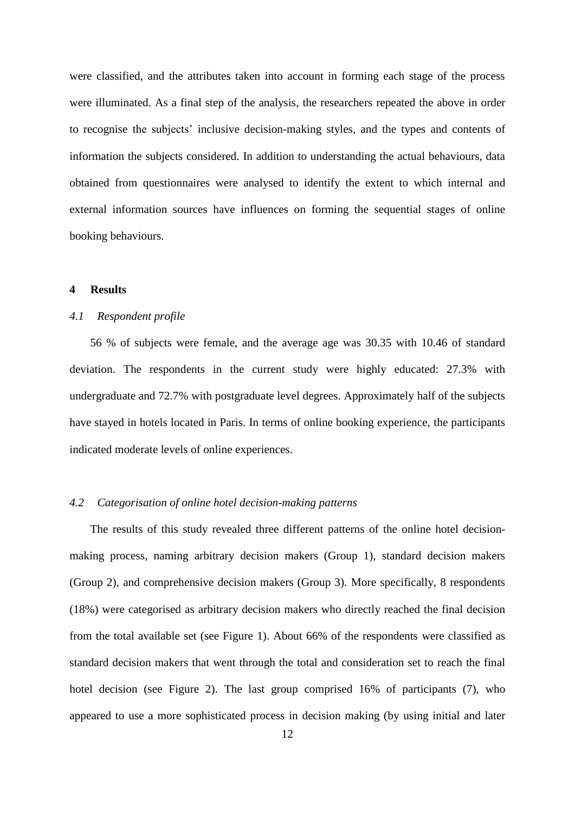were classified, and the attributes taken into account in forming each stage of the process were illuminated. As a final step of the analysis, the researchers repeated the above in order to recognise the subjects' inclusive decision-making styles, and the types and contents of information the subjects considered. In addition to understanding the actual behaviours, data obtained from questionnaires were analysed to identify the extent to which internal and external information sources have influences on forming the sequential stages of online booking behaviours.

#### **4 Results**

#### *4.1 Respondent profile*

56 % of subjects were female, and the average age was 30.35 with 10.46 of standard deviation. The respondents in the current study were highly educated: 27.3% with undergraduate and 72.7% with postgraduate level degrees. Approximately half of the subjects have stayed in hotels located in Paris. In terms of online booking experience, the participants indicated moderate levels of online experiences.

# *4.2 Categorisation of online hotel decision-making patterns*

The results of this study revealed three different patterns of the online hotel decisionmaking process, naming arbitrary decision makers (Group 1), standard decision makers (Group 2), and comprehensive decision makers (Group 3). More specifically, 8 respondents (18%) were categorised as arbitrary decision makers who directly reached the final decision from the total available set (see Figure 1). About 66% of the respondents were classified as standard decision makers that went through the total and consideration set to reach the final hotel decision (see Figure 2). The last group comprised 16% of participants (7), who appeared to use a more sophisticated process in decision making (by using initial and later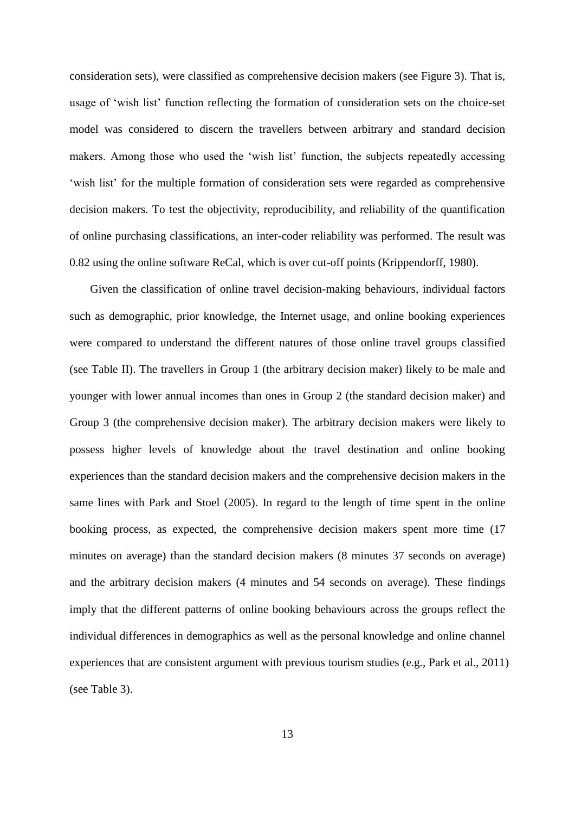consideration sets), were classified as comprehensive decision makers (see Figure 3). That is, usage of 'wish list' function reflecting the formation of consideration sets on the choice-set model was considered to discern the travellers between arbitrary and standard decision makers. Among those who used the 'wish list' function, the subjects repeatedly accessing 'wish list' for the multiple formation of consideration sets were regarded as comprehensive decision makers. To test the objectivity, reproducibility, and reliability of the quantification of online purchasing classifications, an inter-coder reliability was performed. The result was 0.82 using the online software ReCal, which is over cut-off points (Krippendorff, 1980).

Given the classification of online travel decision-making behaviours, individual factors such as demographic, prior knowledge, the Internet usage, and online booking experiences were compared to understand the different natures of those online travel groups classified (see Table II). The travellers in Group 1 (the arbitrary decision maker) likely to be male and younger with lower annual incomes than ones in Group 2 (the standard decision maker) and Group 3 (the comprehensive decision maker). The arbitrary decision makers were likely to possess higher levels of knowledge about the travel destination and online booking experiences than the standard decision makers and the comprehensive decision makers in the same lines with Park and Stoel (2005). In regard to the length of time spent in the online booking process, as expected, the comprehensive decision makers spent more time (17 minutes on average) than the standard decision makers (8 minutes 37 seconds on average) and the arbitrary decision makers (4 minutes and 54 seconds on average). These findings imply that the different patterns of online booking behaviours across the groups reflect the individual differences in demographics as well as the personal knowledge and online channel experiences that are consistent argument with previous tourism studies (e.g., Park et al., 2011) (see Table 3).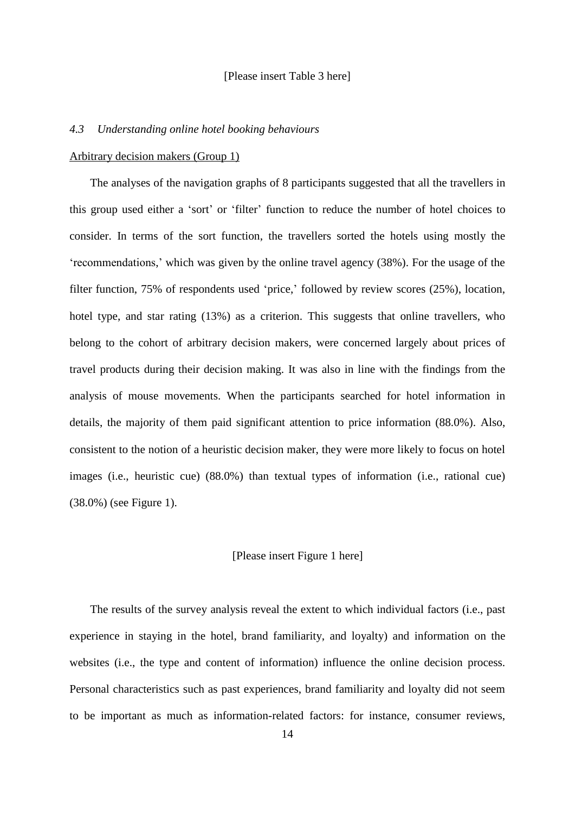#### *4.3 Understanding online hotel booking behaviours*

#### Arbitrary decision makers (Group 1)

The analyses of the navigation graphs of 8 participants suggested that all the travellers in this group used either a 'sort' or 'filter' function to reduce the number of hotel choices to consider. In terms of the sort function, the travellers sorted the hotels using mostly the 'recommendations,' which was given by the online travel agency (38%). For the usage of the filter function, 75% of respondents used 'price,' followed by review scores (25%), location, hotel type, and star rating (13%) as a criterion. This suggests that online travellers, who belong to the cohort of arbitrary decision makers, were concerned largely about prices of travel products during their decision making. It was also in line with the findings from the analysis of mouse movements. When the participants searched for hotel information in details, the majority of them paid significant attention to price information (88.0%). Also, consistent to the notion of a heuristic decision maker, they were more likely to focus on hotel images (i.e., heuristic cue) (88.0%) than textual types of information (i.e., rational cue) (38.0%) (see Figure 1).

#### [Please insert Figure 1 here]

The results of the survey analysis reveal the extent to which individual factors (i.e., past experience in staying in the hotel, brand familiarity, and loyalty) and information on the websites (i.e., the type and content of information) influence the online decision process. Personal characteristics such as past experiences, brand familiarity and loyalty did not seem to be important as much as information-related factors: for instance, consumer reviews,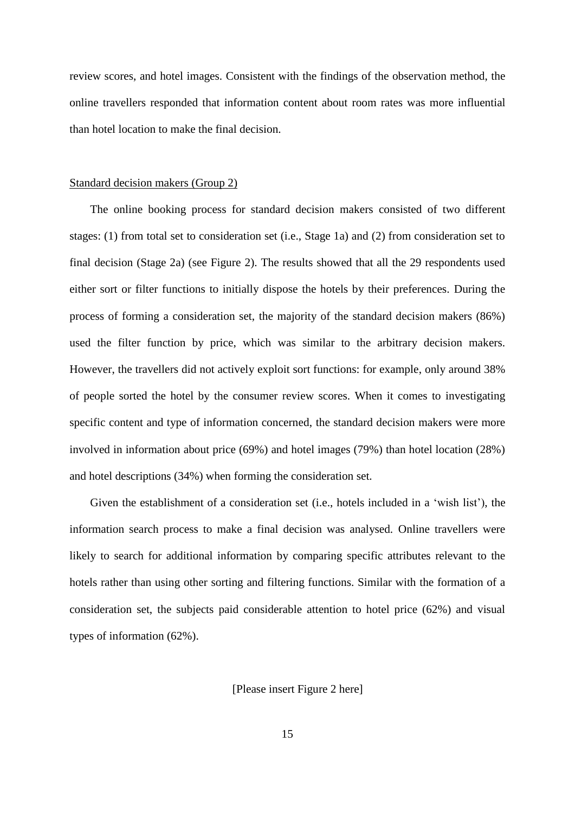review scores, and hotel images. Consistent with the findings of the observation method, the online travellers responded that information content about room rates was more influential than hotel location to make the final decision.

#### Standard decision makers (Group 2)

The online booking process for standard decision makers consisted of two different stages: (1) from total set to consideration set (i.e., Stage 1a) and (2) from consideration set to final decision (Stage 2a) (see Figure 2). The results showed that all the 29 respondents used either sort or filter functions to initially dispose the hotels by their preferences. During the process of forming a consideration set, the majority of the standard decision makers (86%) used the filter function by price, which was similar to the arbitrary decision makers. However, the travellers did not actively exploit sort functions: for example, only around 38% of people sorted the hotel by the consumer review scores. When it comes to investigating specific content and type of information concerned, the standard decision makers were more involved in information about price (69%) and hotel images (79%) than hotel location (28%) and hotel descriptions (34%) when forming the consideration set.

Given the establishment of a consideration set (i.e., hotels included in a 'wish list'), the information search process to make a final decision was analysed. Online travellers were likely to search for additional information by comparing specific attributes relevant to the hotels rather than using other sorting and filtering functions. Similar with the formation of a consideration set, the subjects paid considerable attention to hotel price (62%) and visual types of information (62%).

[Please insert Figure 2 here]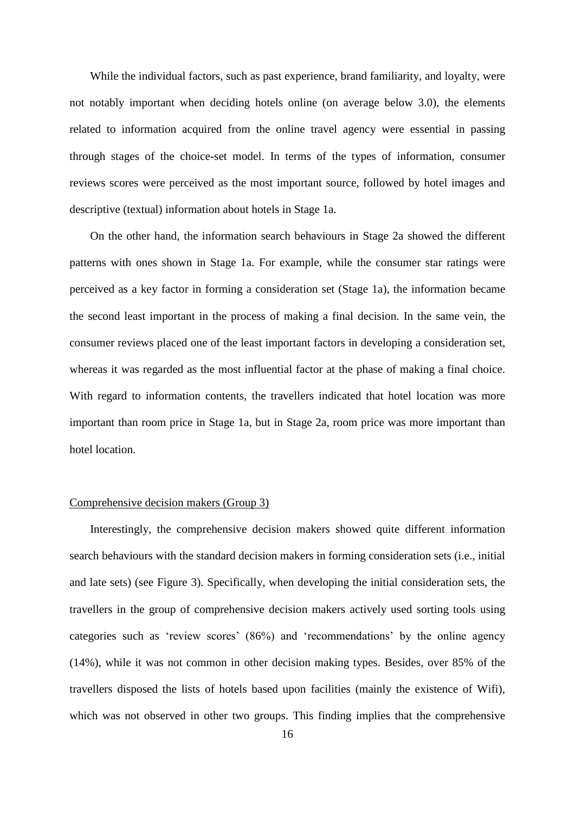While the individual factors, such as past experience, brand familiarity, and loyalty, were not notably important when deciding hotels online (on average below 3.0), the elements related to information acquired from the online travel agency were essential in passing through stages of the choice-set model. In terms of the types of information, consumer reviews scores were perceived as the most important source, followed by hotel images and descriptive (textual) information about hotels in Stage 1a.

On the other hand, the information search behaviours in Stage 2a showed the different patterns with ones shown in Stage 1a. For example, while the consumer star ratings were perceived as a key factor in forming a consideration set (Stage 1a), the information became the second least important in the process of making a final decision. In the same vein, the consumer reviews placed one of the least important factors in developing a consideration set, whereas it was regarded as the most influential factor at the phase of making a final choice. With regard to information contents, the travellers indicated that hotel location was more important than room price in Stage 1a, but in Stage 2a, room price was more important than hotel location.

# Comprehensive decision makers (Group 3)

Interestingly, the comprehensive decision makers showed quite different information search behaviours with the standard decision makers in forming consideration sets (i.e., initial and late sets) (see Figure 3). Specifically, when developing the initial consideration sets, the travellers in the group of comprehensive decision makers actively used sorting tools using categories such as 'review scores' (86%) and 'recommendations' by the online agency (14%), while it was not common in other decision making types. Besides, over 85% of the travellers disposed the lists of hotels based upon facilities (mainly the existence of Wifi), which was not observed in other two groups. This finding implies that the comprehensive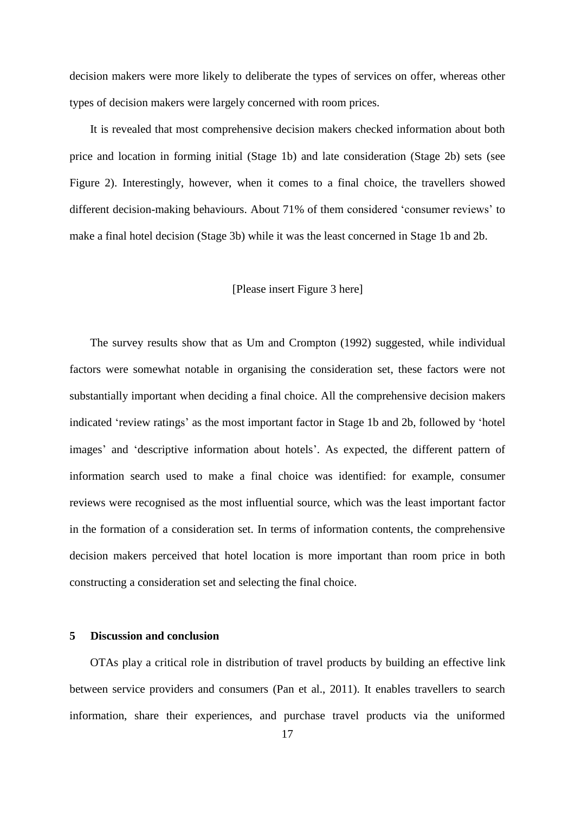decision makers were more likely to deliberate the types of services on offer, whereas other types of decision makers were largely concerned with room prices.

It is revealed that most comprehensive decision makers checked information about both price and location in forming initial (Stage 1b) and late consideration (Stage 2b) sets (see Figure 2). Interestingly, however, when it comes to a final choice, the travellers showed different decision-making behaviours. About 71% of them considered 'consumer reviews' to make a final hotel decision (Stage 3b) while it was the least concerned in Stage 1b and 2b.

#### [Please insert Figure 3 here]

The survey results show that as Um and Crompton (1992) suggested, while individual factors were somewhat notable in organising the consideration set, these factors were not substantially important when deciding a final choice. All the comprehensive decision makers indicated 'review ratings' as the most important factor in Stage 1b and 2b, followed by 'hotel images' and 'descriptive information about hotels'. As expected, the different pattern of information search used to make a final choice was identified: for example, consumer reviews were recognised as the most influential source, which was the least important factor in the formation of a consideration set. In terms of information contents, the comprehensive decision makers perceived that hotel location is more important than room price in both constructing a consideration set and selecting the final choice.

#### **5 Discussion and conclusion**

OTAs play a critical role in distribution of travel products by building an effective link between service providers and consumers (Pan et al., 2011). It enables travellers to search information, share their experiences, and purchase travel products via the uniformed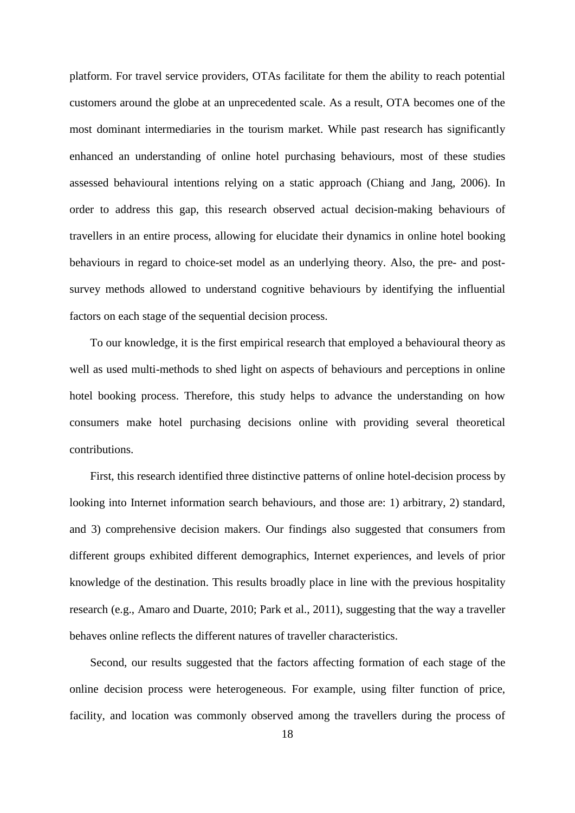platform. For travel service providers, OTAs facilitate for them the ability to reach potential customers around the globe at an unprecedented scale. As a result, OTA becomes one of the most dominant intermediaries in the tourism market. While past research has significantly enhanced an understanding of online hotel purchasing behaviours, most of these studies assessed behavioural intentions relying on a static approach (Chiang and Jang, 2006). In order to address this gap, this research observed actual decision-making behaviours of travellers in an entire process, allowing for elucidate their dynamics in online hotel booking behaviours in regard to choice-set model as an underlying theory. Also, the pre- and postsurvey methods allowed to understand cognitive behaviours by identifying the influential factors on each stage of the sequential decision process.

To our knowledge, it is the first empirical research that employed a behavioural theory as well as used multi-methods to shed light on aspects of behaviours and perceptions in online hotel booking process. Therefore, this study helps to advance the understanding on how consumers make hotel purchasing decisions online with providing several theoretical contributions.

First, this research identified three distinctive patterns of online hotel-decision process by looking into Internet information search behaviours, and those are: 1) arbitrary, 2) standard, and 3) comprehensive decision makers. Our findings also suggested that consumers from different groups exhibited different demographics, Internet experiences, and levels of prior knowledge of the destination. This results broadly place in line with the previous hospitality research (e.g., Amaro and Duarte, 2010; Park et al., 2011), suggesting that the way a traveller behaves online reflects the different natures of traveller characteristics.

Second, our results suggested that the factors affecting formation of each stage of the online decision process were heterogeneous. For example, using filter function of price, facility, and location was commonly observed among the travellers during the process of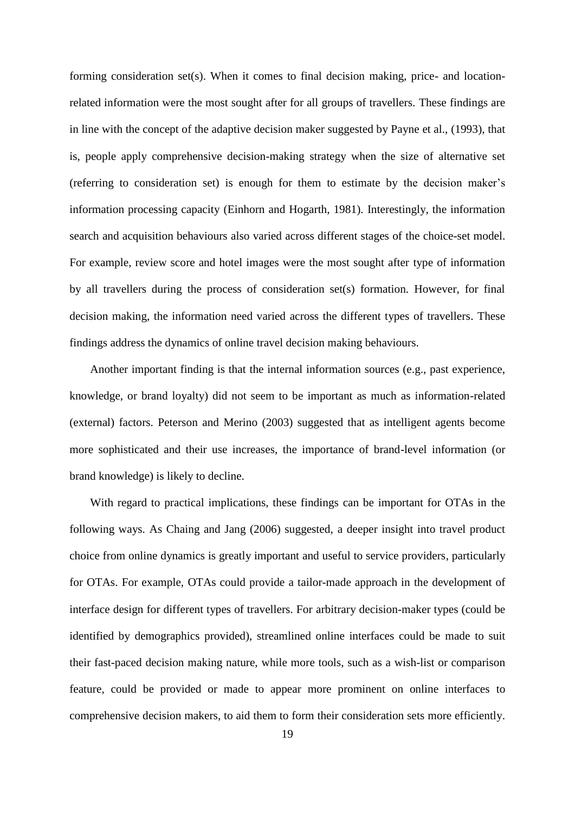forming consideration set(s). When it comes to final decision making, price- and locationrelated information were the most sought after for all groups of travellers. These findings are in line with the concept of the adaptive decision maker suggested by Payne et al., (1993), that is, people apply comprehensive decision-making strategy when the size of alternative set (referring to consideration set) is enough for them to estimate by the decision maker's information processing capacity (Einhorn and Hogarth, 1981). Interestingly, the information search and acquisition behaviours also varied across different stages of the choice-set model. For example, review score and hotel images were the most sought after type of information by all travellers during the process of consideration set(s) formation. However, for final decision making, the information need varied across the different types of travellers. These findings address the dynamics of online travel decision making behaviours.

Another important finding is that the internal information sources (e.g., past experience, knowledge, or brand loyalty) did not seem to be important as much as information-related (external) factors. Peterson and Merino (2003) suggested that as intelligent agents become more sophisticated and their use increases, the importance of brand-level information (or brand knowledge) is likely to decline.

With regard to practical implications, these findings can be important for OTAs in the following ways. As Chaing and Jang (2006) suggested, a deeper insight into travel product choice from online dynamics is greatly important and useful to service providers, particularly for OTAs. For example, OTAs could provide a tailor-made approach in the development of interface design for different types of travellers. For arbitrary decision-maker types (could be identified by demographics provided), streamlined online interfaces could be made to suit their fast-paced decision making nature, while more tools, such as a wish-list or comparison feature, could be provided or made to appear more prominent on online interfaces to comprehensive decision makers, to aid them to form their consideration sets more efficiently.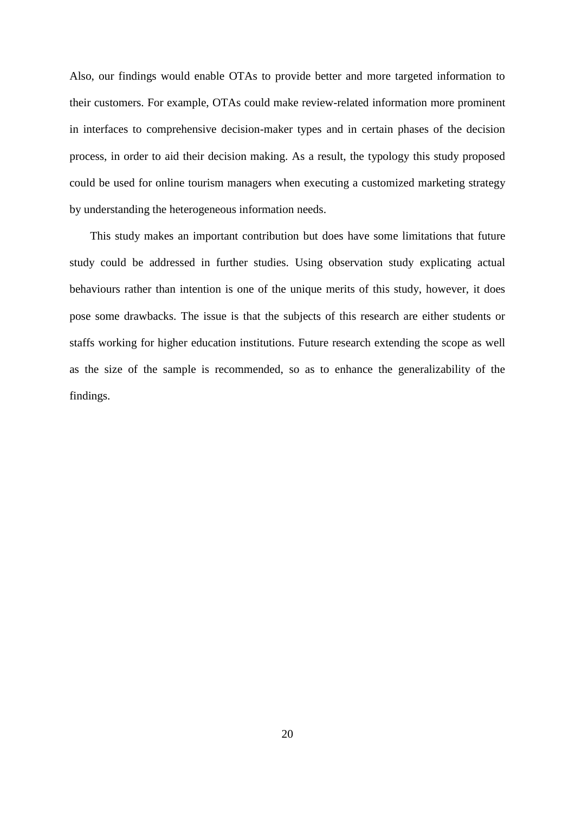Also, our findings would enable OTAs to provide better and more targeted information to their customers. For example, OTAs could make review-related information more prominent in interfaces to comprehensive decision-maker types and in certain phases of the decision process, in order to aid their decision making. As a result, the typology this study proposed could be used for online tourism managers when executing a customized marketing strategy by understanding the heterogeneous information needs.

This study makes an important contribution but does have some limitations that future study could be addressed in further studies. Using observation study explicating actual behaviours rather than intention is one of the unique merits of this study, however, it does pose some drawbacks. The issue is that the subjects of this research are either students or staffs working for higher education institutions. Future research extending the scope as well as the size of the sample is recommended, so as to enhance the generalizability of the findings.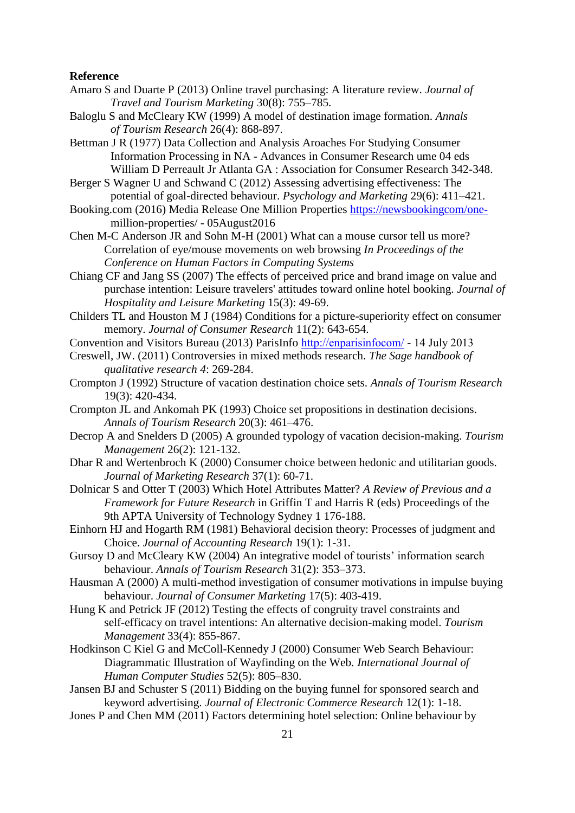#### **Reference**

- Amaro S and Duarte P (2013) Online travel purchasing: A literature review. *Journal of Travel and Tourism Marketing* 30(8): 755–785.
- Baloglu S and McCleary KW (1999) A model of destination image formation. *Annals of Tourism Research* 26(4): 868-897.
- Bettman J R (1977) Data Collection and Analysis Aroaches For Studying Consumer Information Processing in NA - Advances in Consumer Research ume 04 eds William D Perreault Jr Atlanta GA : Association for Consumer Research 342-348.
- Berger S Wagner U and Schwand C (2012) Assessing advertising effectiveness: The potential of goal-directed behaviour. *Psychology and Marketing* 29(6): 411–421.
- Booking.com (2016) Media Release One Million Properties [https://newsbookingcom/one](https://news.booking.com/one-)million-properties/ - 05August2016
- Chen M-C Anderson JR and Sohn M-H (2001) What can a mouse cursor tell us more? Correlation of eye/mouse movements on web browsing *In Proceedings of the Conference on Human Factors in Computing Systems*
- Chiang CF and Jang SS (2007) The effects of perceived price and brand image on value and purchase intention: Leisure travelers' attitudes toward online hotel booking. *Journal of Hospitality and Leisure Marketing* 15(3): 49-69.
- Childers TL and Houston M J (1984) Conditions for a picture-superiority effect on consumer memory. *Journal of Consumer Research* 11(2): 643-654.
- Convention and Visitors Bureau (2013) ParisInfo [http://enparisinfocom/](http://en.parisinfo.com/) 14 July 2013
- Creswell, JW. (2011) Controversies in mixed methods research. *The Sage handbook of qualitative research 4*: 269-284.
- Crompton J (1992) Structure of vacation destination choice sets. *Annals of Tourism Research* 19(3): 420-434.
- Crompton JL and Ankomah PK (1993) Choice set propositions in destination decisions. *Annals of Tourism Research* 20(3): 461–476.
- Decrop A and Snelders D (2005) A grounded typology of vacation decision-making. *Tourism Management* 26(2): 121-132.
- Dhar R and Wertenbroch K (2000) Consumer choice between hedonic and utilitarian goods. *Journal of Marketing Research* 37(1): 60-71.
- Dolnicar S and Otter T (2003) Which Hotel Attributes Matter? *A Review of Previous and a Framework for Future Research* in Griffin T and Harris R (eds) Proceedings of the 9th APTA University of Technology Sydney 1 176-188.
- Einhorn HJ and Hogarth RM (1981) Behavioral decision theory: Processes of judgment and Choice. *Journal of Accounting Research* 19(1): 1-31.
- Gursoy D and McCleary KW (2004) An integrative model of tourists' information search behaviour. *Annals of Tourism Research* 31(2): 353–373.
- Hausman A (2000) A multi-method investigation of consumer motivations in impulse buying behaviour. *Journal of Consumer Marketing* 17(5): 403-419.
- Hung K and Petrick JF (2012) Testing the effects of congruity travel constraints and self-efficacy on travel intentions: An alternative decision-making model. *Tourism Management* 33(4): 855-867.
- Hodkinson C Kiel G and McColl-Kennedy J (2000) Consumer Web Search Behaviour: Diagrammatic Illustration of Wayfinding on the Web. *International Journal of Human Computer Studies* 52(5): 805–830.
- Jansen BJ and Schuster S (2011) Bidding on the buying funnel for sponsored search and keyword advertising. *Journal of Electronic Commerce Research* 12(1): 1-18.
- Jones P and Chen MM (2011) Factors determining hotel selection: Online behaviour by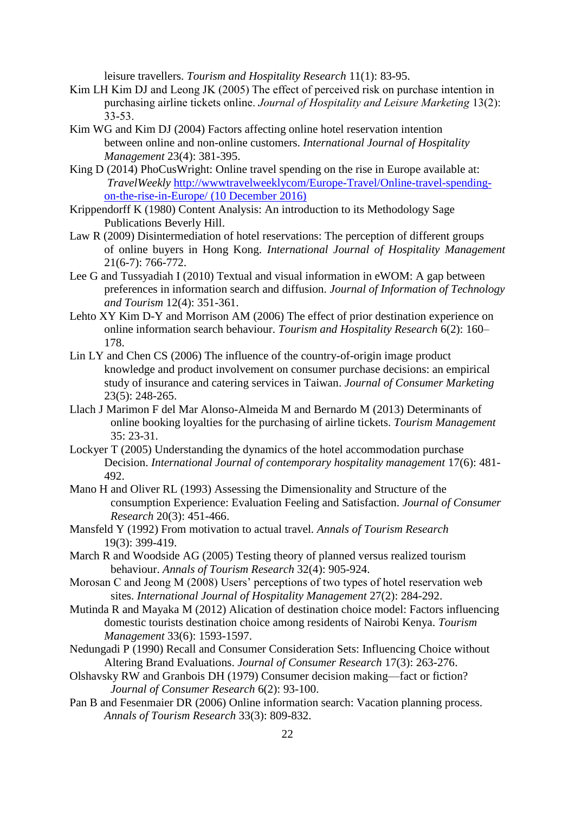leisure travellers. *Tourism and Hospitality Research* 11(1): 83-95.

- Kim LH Kim DJ and Leong JK (2005) The effect of perceived risk on purchase intention in purchasing airline tickets online. *Journal of Hospitality and Leisure Marketing* 13(2): 33-53.
- Kim WG and Kim DJ (2004) Factors affecting online hotel reservation intention between online and non-online customers. *International Journal of Hospitality Management* 23(4): 381-395.
- King D (2014) PhoCusWright: Online travel spending on the rise in Europe available at: *TravelWeekly* [http://wwwtravelweeklycom/Europe-Travel/Online-travel-spending](http://www.travelweekly.com/Europe-Travel/Online-travel-spending-on-the-rise-in-Europe/)[on-the-rise-in-Europe/](http://www.travelweekly.com/Europe-Travel/Online-travel-spending-on-the-rise-in-Europe/) (10 December 2016)
- Krippendorff K (1980) Content Analysis: An introduction to its Methodology Sage Publications Beverly Hill.
- Law R (2009) Disintermediation of hotel reservations: The perception of different groups of online buyers in Hong Kong. *International Journal of Hospitality Management* 21(6-7): 766-772.
- Lee G and Tussyadiah I (2010) Textual and visual information in eWOM: A gap between preferences in information search and diffusion. *Journal of Information of Technology and Tourism* 12(4): 351-361.
- Lehto XY Kim D-Y and Morrison AM (2006) The effect of prior destination experience on online information search behaviour. *Tourism and Hospitality Research* 6(2): 160– 178.
- Lin LY and Chen CS (2006) The influence of the country-of-origin image product knowledge and product involvement on consumer purchase decisions: an empirical study of insurance and catering services in Taiwan. *Journal of Consumer Marketing* 23(5): 248-265.
- Llach J Marimon F del Mar Alonso-Almeida M and Bernardo M (2013) Determinants of online booking loyalties for the purchasing of airline tickets. *Tourism Management* 35: 23-31.
- Lockyer T (2005) Understanding the dynamics of the hotel accommodation purchase Decision. *International Journal of contemporary hospitality management* 17(6): 481- 492.
- Mano H and Oliver RL (1993) Assessing the Dimensionality and Structure of the consumption Experience: Evaluation Feeling and Satisfaction. *Journal of Consumer Research* 20(3): 451-466.
- Mansfeld Y (1992) From motivation to actual travel. *Annals of Tourism Research*  19(3): 399-419.
- March R and Woodside AG (2005) Testing theory of planned versus realized tourism behaviour. *Annals of Tourism Research* 32(4): 905-924.
- Morosan C and Jeong M (2008) Users' perceptions of two types of hotel reservation web sites. *International Journal of Hospitality Management* 27(2): 284-292.
- Mutinda R and Mayaka M (2012) Alication of destination choice model: Factors influencing domestic tourists destination choice among residents of Nairobi Kenya. *Tourism Management* 33(6): 1593-1597.
- Nedungadi P (1990) Recall and Consumer Consideration Sets: Influencing Choice without Altering Brand Evaluations. *Journal of Consumer Research* 17(3): 263-276.
- Olshavsky RW and Granbois DH (1979) Consumer decision making—fact or fiction? *Journal of Consumer Research* 6(2): 93-100.
- Pan B and Fesenmaier DR (2006) Online information search: Vacation planning process. *Annals of Tourism Research* 33(3): 809-832.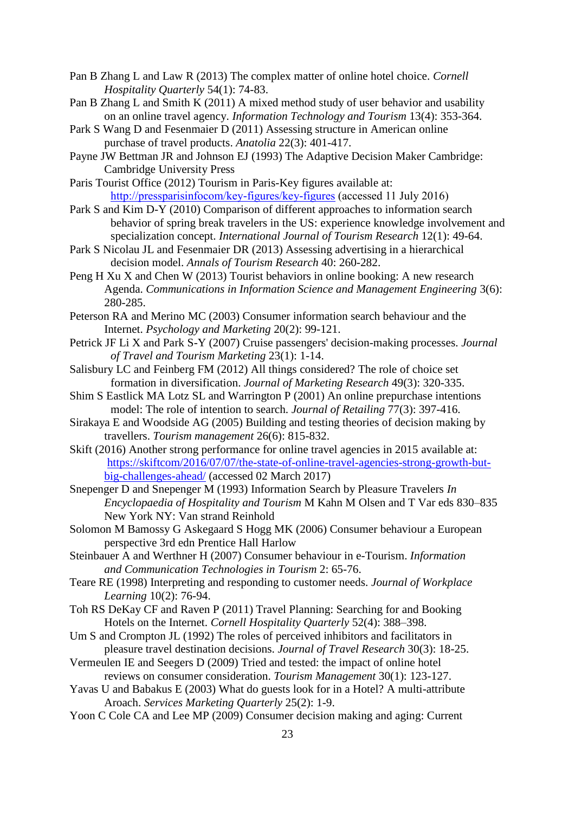- Pan B Zhang L and Law R (2013) The complex matter of online hotel choice. *Cornell Hospitality Quarterly* 54(1): 74-83.
- Pan B Zhang L and Smith K (2011) A mixed method study of user behavior and usability on an online travel agency. *Information Technology and Tourism* 13(4): 353-364.
- Park S Wang D and Fesenmaier D (2011) Assessing structure in American online purchase of travel products. *Anatolia* 22(3): 401-417.
- Payne JW Bettman JR and Johnson EJ (1993) The Adaptive Decision Maker Cambridge: Cambridge University Press
- Paris Tourist Office (2012) Tourism in Paris-Key figures available at: [http://pressparisinfocom/key-figures/key-figures](http://press.parisinfo.com/key-figures/key-figures) (accessed 11 July 2016)
- Park S and Kim D-Y (2010) Comparison of different approaches to information search behavior of spring break travelers in the US: experience knowledge involvement and specialization concept. *International Journal of Tourism Research* 12(1): 49-64.
- Park S Nicolau JL and Fesenmaier DR (2013) Assessing advertising in a hierarchical decision model. *Annals of Tourism Research* 40: 260-282.
- Peng H Xu X and Chen W (2013) Tourist behaviors in online booking: A new research Agenda. *Communications in Information Science and Management Engineering* 3(6): 280-285.
- Peterson RA and Merino MC (2003) Consumer information search behaviour and the Internet. *Psychology and Marketing* 20(2): 99-121.
- Petrick JF Li X and Park S-Y (2007) Cruise passengers' decision-making processes. *Journal of Travel and Tourism Marketing* 23(1): 1-14.
- Salisbury LC and Feinberg FM (2012) All things considered? The role of choice set formation in diversification. *Journal of Marketing Research* 49(3): 320-335.
- Shim S Eastlick MA Lotz SL and Warrington P (2001) An online prepurchase intentions model: The role of intention to search. *Journal of Retailing* 77(3): 397-416.
- Sirakaya E and Woodside AG (2005) Building and testing theories of decision making by travellers. *Tourism management* 26(6): 815-832.
- Skift (2016) Another strong performance for online travel agencies in 2015 available at: [https://skiftcom/2016/07/07/the-state-of-online-travel-agencies-strong-growth-but](https://skift.com/2016/07/07/the-state-of-online-travel-agencies-strong-growth-but-big-challenges-ahead/)[big-challenges-ahead/](https://skift.com/2016/07/07/the-state-of-online-travel-agencies-strong-growth-but-big-challenges-ahead/) (accessed 02 March 2017)
- Snepenger D and Snepenger M (1993) Information Search by Pleasure Travelers *In Encyclopaedia of Hospitality and Tourism* M Kahn M Olsen and T Var eds 830–835 New York NY: Van strand Reinhold
- Solomon M Bamossy G Askegaard S Hogg MK (2006) Consumer behaviour a European perspective 3rd edn Prentice Hall Harlow
- Steinbauer A and Werthner H (2007) Consumer behaviour in e-Tourism. *Information and Communication Technologies in Tourism* 2: 65-76.
- Teare RE (1998) Interpreting and responding to customer needs. *Journal of Workplace Learning* 10(2): 76-94.
- Toh RS DeKay CF and Raven P (2011) Travel Planning: Searching for and Booking Hotels on the Internet. *Cornell Hospitality Quarterly* 52(4): 388–398.
- Um S and Crompton JL (1992) The roles of perceived inhibitors and facilitators in pleasure travel destination decisions. *Journal of Travel Research* 30(3): 18-25.
- Vermeulen IE and Seegers D (2009) Tried and tested: the impact of online hotel reviews on consumer consideration. *Tourism Management* 30(1): 123-127.
- Yavas U and Babakus E (2003) What do guests look for in a Hotel? A multi-attribute Aroach. *Services Marketing Quarterly* 25(2): 1-9.
- Yoon C Cole CA and Lee MP (2009) Consumer decision making and aging: Current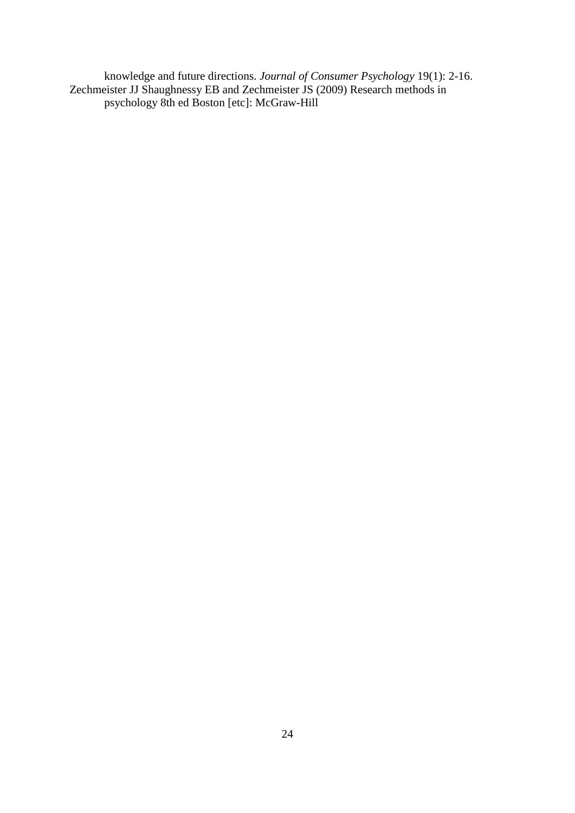knowledge and future directions. *Journal of Consumer Psychology* 19(1): 2-16. Zechmeister JJ Shaughnessy EB and Zechmeister JS (2009) Research methods in psychology 8th ed Boston [etc]: McGraw-Hill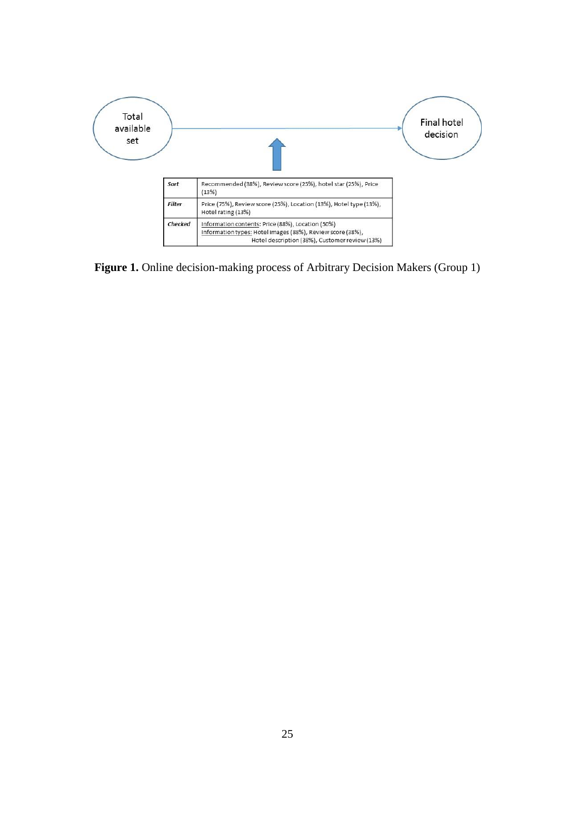

**Figure 1.** Online decision-making process of Arbitrary Decision Makers (Group 1)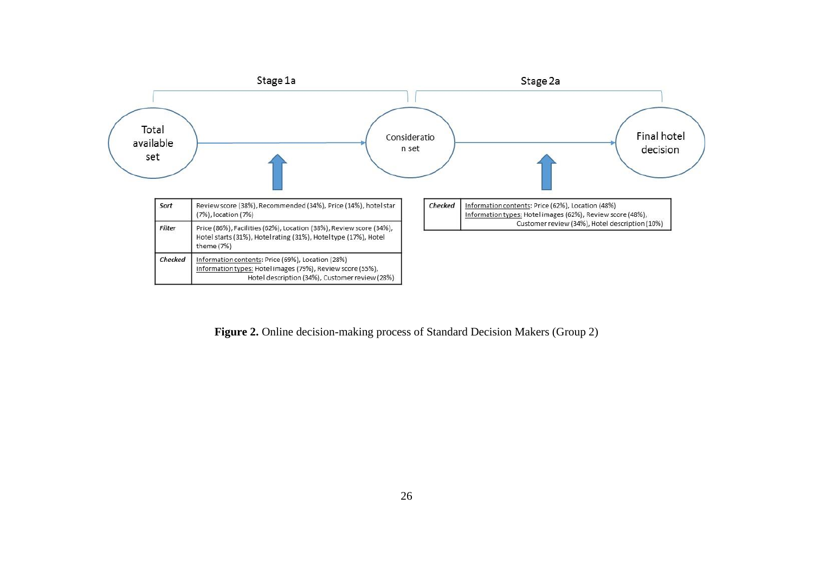

**Figure 2.** Online decision-making process of Standard Decision Makers (Group 2)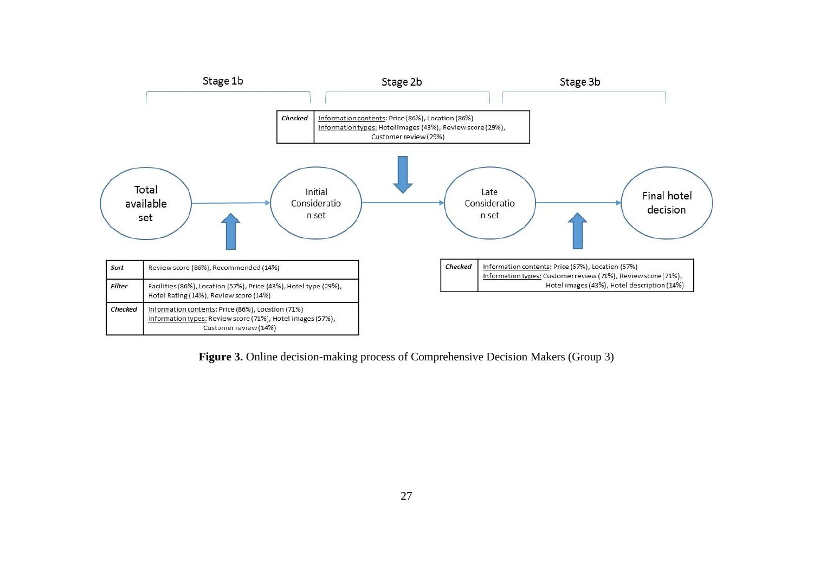

**Figure 3.** Online decision-making process of Comprehensive Decision Makers (Group 3)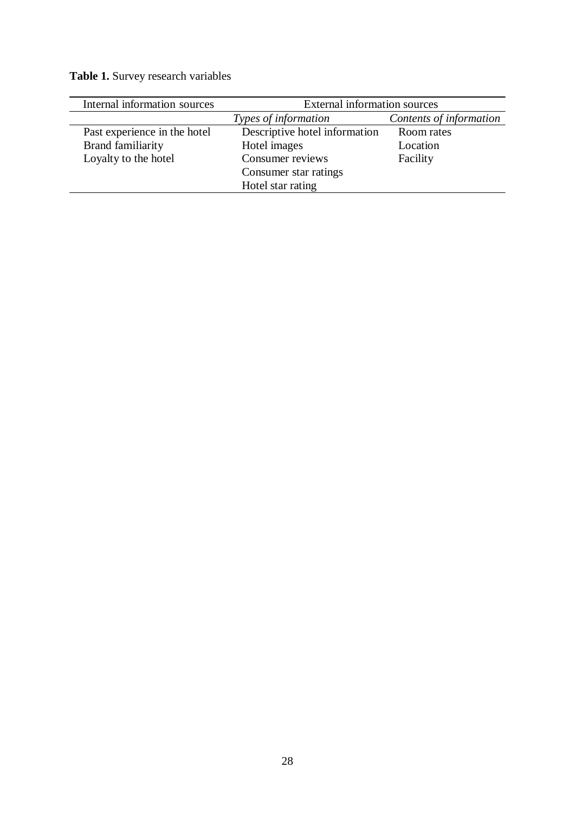**Table 1.** Survey research variables

| Internal information sources | External information sources  |                         |  |
|------------------------------|-------------------------------|-------------------------|--|
|                              | Types of information          | Contents of information |  |
| Past experience in the hotel | Descriptive hotel information | Room rates              |  |
| <b>Brand familiarity</b>     | Hotel images                  | Location                |  |
| Loyalty to the hotel         | Consumer reviews              | Facility                |  |
|                              | Consumer star ratings         |                         |  |
|                              | Hotel star rating             |                         |  |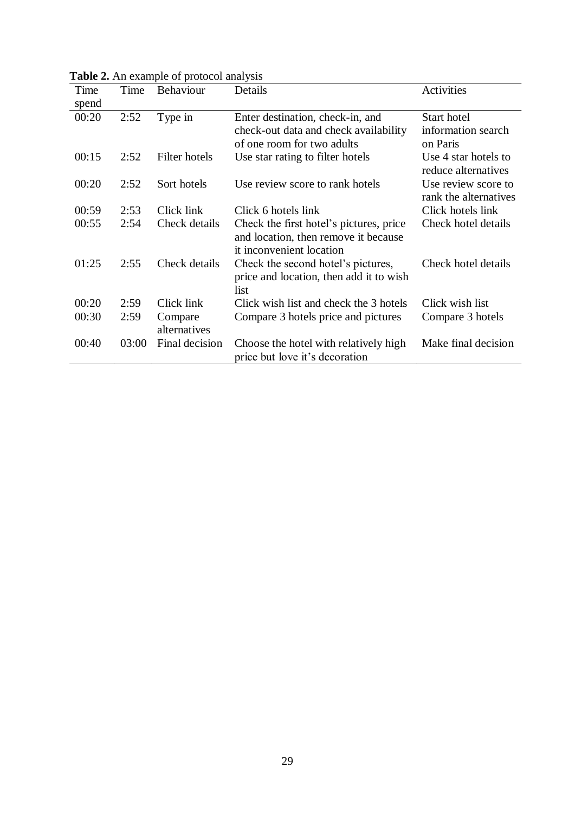| Time  | Time  | <b>Behaviour</b>        | Details                                                                               | Activities                                   |
|-------|-------|-------------------------|---------------------------------------------------------------------------------------|----------------------------------------------|
| spend |       |                         |                                                                                       |                                              |
| 00:20 | 2:52  | Type in                 | Enter destination, check-in, and                                                      | Start hotel                                  |
|       |       |                         | check-out data and check availability                                                 | information search                           |
|       |       |                         | of one room for two adults                                                            | on Paris                                     |
| 00:15 | 2:52  | Filter hotels           | Use star rating to filter hotels                                                      | Use 4 star hotels to<br>reduce alternatives  |
| 00:20 | 2:52  | Sort hotels             | Use review score to rank hotels                                                       | Use review score to<br>rank the alternatives |
| 00:59 | 2:53  | Click link              | Click 6 hotels link                                                                   | Click hotels link                            |
| 00:55 | 2:54  | Check details           | Check the first hotel's pictures, price<br>and location, then remove it because       | Check hotel details                          |
|       |       |                         | it inconvenient location                                                              |                                              |
| 01:25 | 2:55  | Check details           | Check the second hotel's pictures,<br>price and location, then add it to wish<br>list | Check hotel details                          |
| 00:20 | 2:59  | Click link              | Click wish list and check the 3 hotels                                                | Click wish list                              |
| 00:30 | 2:59  | Compare<br>alternatives | Compare 3 hotels price and pictures                                                   | Compare 3 hotels                             |
| 00:40 | 03:00 | Final decision          | Choose the hotel with relatively high<br>price but love it's decoration               | Make final decision                          |

**Table 2.** An example of protocol analysis